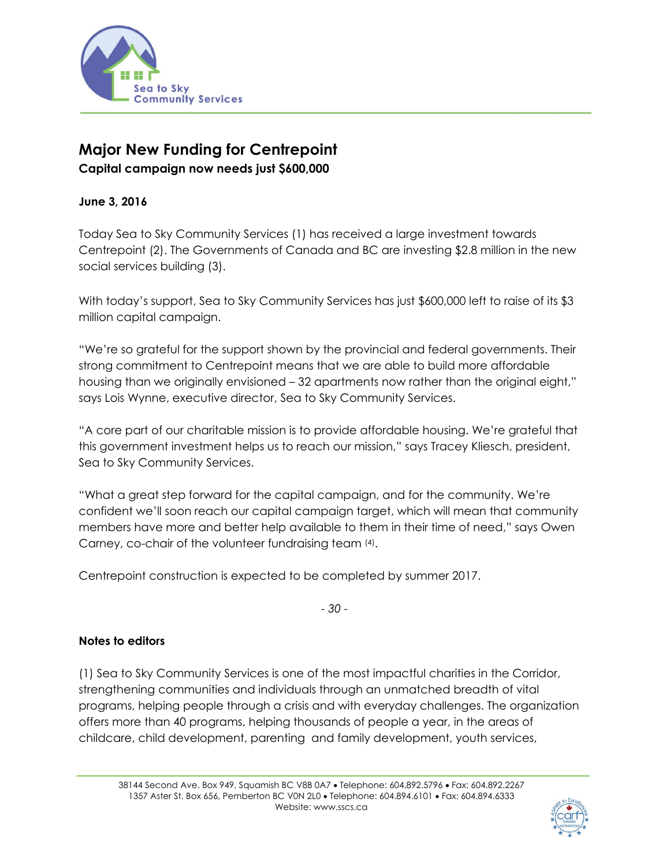

## **Major New Funding for Centrepoint**

**Capital campaign now needs just \$600,000** 

## **June 3, 2016**

Today Sea to Sky Community Services (1) has received a large investment towards Centrepoint (2). The Governments of Canada and BC are investing \$2.8 million in the new social services building (3).

With today's support, Sea to Sky Community Services has just \$600,000 left to raise of its \$3 million capital campaign.

"We're so grateful for the support shown by the provincial and federal governments. Their strong commitment to Centrepoint means that we are able to build more affordable housing than we originally envisioned – 32 apartments now rather than the original eight," says Lois Wynne, executive director, Sea to Sky Community Services.

"A core part of our charitable mission is to provide affordable housing. We're grateful that this government investment helps us to reach our mission," says Tracey Kliesch, president, Sea to Sky Community Services.

"What a great step forward for the capital campaign, and for the community. We're confident we'll soon reach our capital campaign target, which will mean that community members have more and better help available to them in their time of need," says Owen Carney, co-chair of the volunteer fundraising team (4).

Centrepoint construction is expected to be completed by summer 2017.

*- 30 -* 

## **Notes to editors**

(1) Sea to Sky Community Services is one of the most impactful charities in the Corridor, strengthening communities and individuals through an unmatched breadth of vital programs, helping people through a crisis and with everyday challenges. The organization offers more than 40 programs, helping thousands of people a year, in the areas of childcare, child development, parenting and family development, youth services,